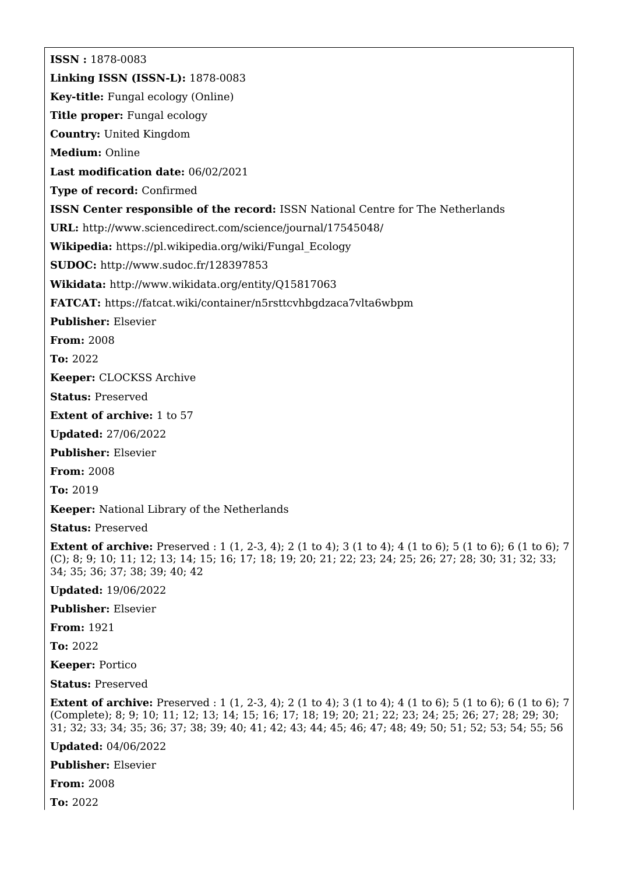**ISSN :** 1878-0083 **Linking ISSN (ISSN-L):** 1878-0083 **Key-title:** Fungal ecology (Online) **Title proper:** Fungal ecology **Country:** United Kingdom **Medium:** Online **Last modification date:** 06/02/2021 **Type of record:** Confirmed **ISSN Center responsible of the record:** ISSN National Centre for The Netherlands **URL:** <http://www.sciencedirect.com/science/journal/17545048/> **Wikipedia:** [https://pl.wikipedia.org/wiki/Fungal\\_Ecology](https://pl.wikipedia.org/wiki/Fungal_Ecology) **SUDOC:** <http://www.sudoc.fr/128397853> **Wikidata:** <http://www.wikidata.org/entity/Q15817063> **FATCAT:** <https://fatcat.wiki/container/n5rsttcvhbgdzaca7vlta6wbpm> **Publisher:** Elsevier **From:** 2008 **To:** 2022 **Keeper:** CLOCKSS Archive **Status:** Preserved **Extent of archive:** 1 to 57 **Updated:** 27/06/2022 **Publisher:** Elsevier **From:** 2008 **To:** 2019 **Keeper:** National Library of the Netherlands **Status:** Preserved **Extent of archive:** Preserved : 1 (1, 2-3, 4); 2 (1 to 4); 3 (1 to 4); 4 (1 to 6); 5 (1 to 6); 6 (1 to 6); 7 (C); 8; 9; 10; 11; 12; 13; 14; 15; 16; 17; 18; 19; 20; 21; 22; 23; 24; 25; 26; 27; 28; 30; 31; 32; 33; 34; 35; 36; 37; 38; 39; 40; 42 **Updated:** 19/06/2022 **Publisher:** Elsevier **From:** 1921 **To:** 2022 **Keeper:** Portico **Status:** Preserved **Extent of archive:** Preserved : 1 (1, 2-3, 4); 2 (1 to 4); 3 (1 to 4); 4 (1 to 6); 5 (1 to 6); 6 (1 to 6); 7 (Complete); 8; 9; 10; 11; 12; 13; 14; 15; 16; 17; 18; 19; 20; 21; 22; 23; 24; 25; 26; 27; 28; 29; 30; 31; 32; 33; 34; 35; 36; 37; 38; 39; 40; 41; 42; 43; 44; 45; 46; 47; 48; 49; 50; 51; 52; 53; 54; 55; 56 **Updated:** 04/06/2022

**Publisher:** Elsevier

**From:** 2008

**To:** 2022